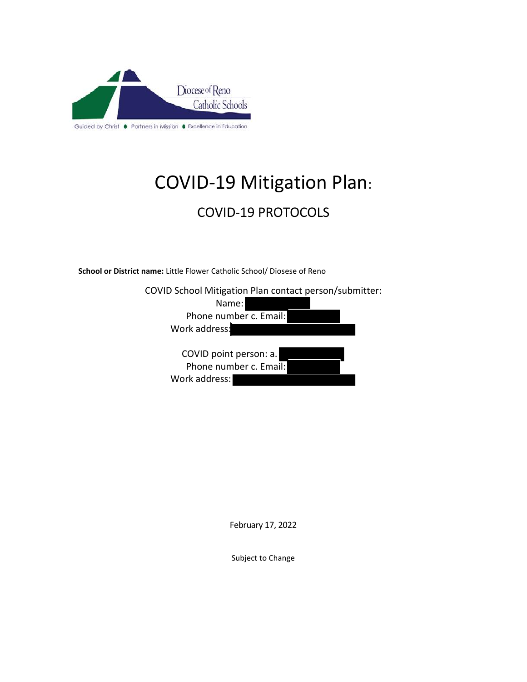

# COVID-19 Mitigation Plan:

# COVID-19 PROTOCOLS

**School or District name:** Little Flower Catholic School/ Diosese of Reno

| COVID School Mitigation Plan contact person/submitter: |  |
|--------------------------------------------------------|--|
| Name:                                                  |  |
| Phone number c. Email:                                 |  |
| Work address:                                          |  |
| COVID point person: a.                                 |  |
| Phone number c. Email:                                 |  |
| Work address:                                          |  |

February 17, 2022

Subject to Change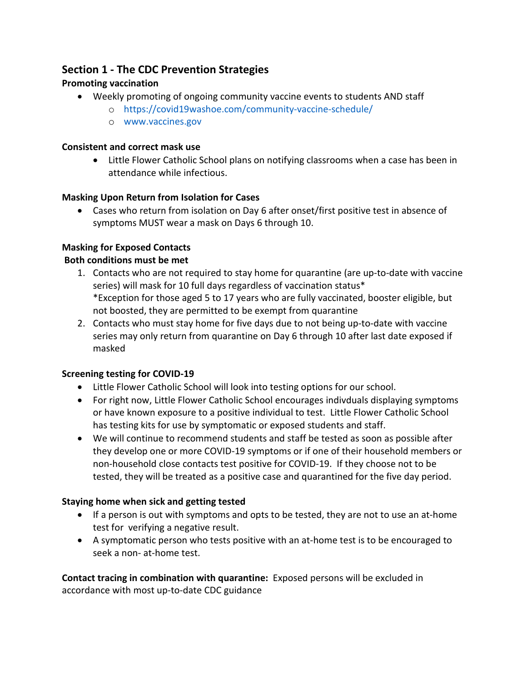# **Section 1 - The CDC Prevention Strategies**

# **Promoting vaccination**

- Weekly promoting of ongoing community vaccine events to students AND staff
	- o https://covid19washoe.com/community-vaccine-schedule/
	- o www.vaccines.gov

#### **Consistent and correct mask use**

• Little Flower Catholic School plans on notifying classrooms when a case has been in attendance while infectious.

# **Masking Upon Return from Isolation for Cases**

• Cases who return from isolation on Day 6 after onset/first positive test in absence of symptoms MUST wear a mask on Days 6 through 10.

# **Masking for Exposed Contacts**

#### **Both conditions must be met**

- 1. Contacts who are not required to stay home for quarantine (are up-to-date with vaccine series) will mask for 10 full days regardless of vaccination status\* \*Exception for those aged 5 to 17 years who are fully vaccinated, booster eligible, but not boosted, they are permitted to be exempt from quarantine
- 2. Contacts who must stay home for five days due to not being up-to-date with vaccine series may only return from quarantine on Day 6 through 10 after last date exposed if masked

# **Screening testing for COVID-19**

- Little Flower Catholic School will look into testing options for our school.
- For right now, Little Flower Catholic School encourages indivduals displaying symptoms or have known exposure to a positive individual to test. Little Flower Catholic School has testing kits for use by symptomatic or exposed students and staff.
- We will continue to recommend students and staff be tested as soon as possible after they develop one or more COVID-19 symptoms or if one of their household members or non-household close contacts test positive for COVID-19. If they choose not to be tested, they will be treated as a positive case and quarantined for the five day period.

# **Staying home when sick and getting tested**

- If a person is out with symptoms and opts to be tested, they are not to use an at-home test for verifying a negative result.
- A symptomatic person who tests positive with an at-home test is to be encouraged to seek a non- at-home test.

**Contact tracing in combination with quarantine:** Exposed persons will be excluded in accordance with most up-to-date CDC guidance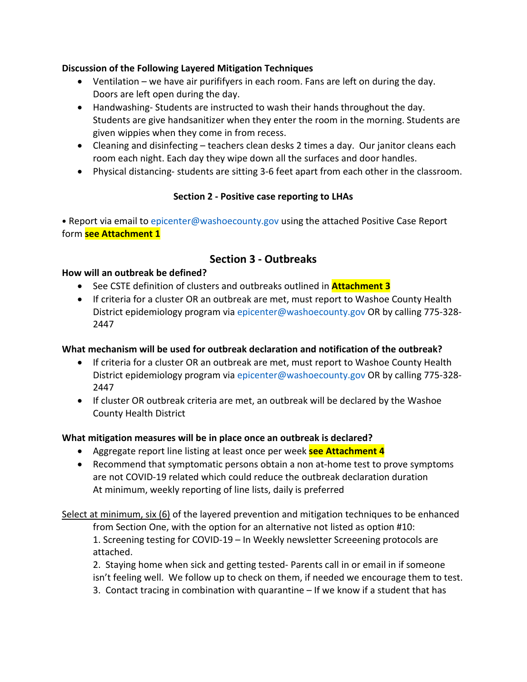#### **Discussion of the Following Layered Mitigation Techniques**

- Ventilation we have air purififyers in each room. Fans are left on during the day. Doors are left open during the day.
- Handwashing- Students are instructed to wash their hands throughout the day. Students are give handsanitizer when they enter the room in the morning. Students are given wippies when they come in from recess.
- Cleaning and disinfecting teachers clean desks 2 times a day. Our janitor cleans each room each night. Each day they wipe down all the surfaces and door handles.
- Physical distancing- students are sitting 3-6 feet apart from each other in the classroom.

#### **Section 2 - Positive case reporting to LHAs**

• Report via email to epicenter@washoecounty.gov using the attached Positive Case Report form **see Attachment 1** 

# **Section 3 - Outbreaks**

#### **How will an outbreak be defined?**

- See CSTE definition of clusters and outbreaks outlined in **Attachment 3**
- If criteria for a cluster OR an outbreak are met, must report to Washoe County Health District epidemiology program via epicenter@washoecounty.gov OR by calling 775-328- 2447

#### **What mechanism will be used for outbreak declaration and notification of the outbreak?**

- If criteria for a cluster OR an outbreak are met, must report to Washoe County Health District epidemiology program via epicenter@washoecounty.gov OR by calling 775-328- 2447
- If cluster OR outbreak criteria are met, an outbreak will be declared by the Washoe County Health District

#### **What mitigation measures will be in place once an outbreak is declared?**

- Aggregate report line listing at least once per week **see Attachment 4**
- Recommend that symptomatic persons obtain a non at-home test to prove symptoms are not COVID-19 related which could reduce the outbreak declaration duration At minimum, weekly reporting of line lists, daily is preferred

Select at minimum, six (6) of the layered prevention and mitigation techniques to be enhanced from Section One, with the option for an alternative not listed as option #10: 1. Screening testing for COVID-19 – In Weekly newsletter Screeening protocols are attached.

2. Staying home when sick and getting tested- Parents call in or email in if someone isn't feeling well. We follow up to check on them, if needed we encourage them to test.

3. Contact tracing in combination with quarantine – If we know if a student that has